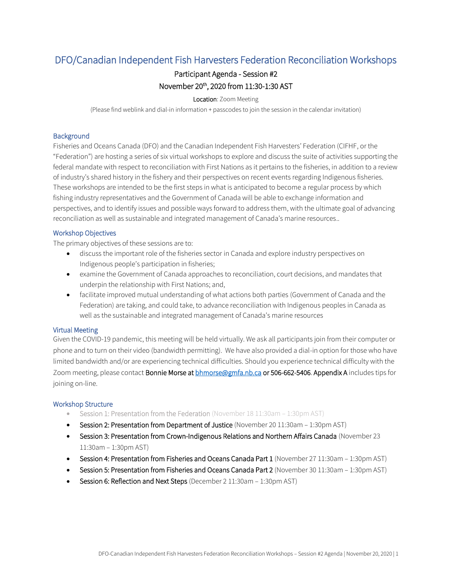# DFO/Canadian Independent Fish Harvesters Federation Reconciliation Workshops

## Participant Agenda - Session #2 November 20th, 2020 from 11:30-1:30 AST

### Location: Zoom Meeting

(Please find weblink and dial-in information + passcodes to join the session in the calendar invitation)

#### **Background**

Fisheries and Oceans Canada (DFO) and the Canadian Independent Fish Harvesters' Federation (CIFHF, or the "Federation") are hosting a series of six virtual workshops to explore and discuss the suite of activities supporting the federal mandate with respect to reconciliation with First Nations as it pertains to the fisheries, in addition to a review of industry's shared history in the fishery and their perspectives on recent events regarding Indigenous fisheries. These workshops are intended to be the first steps in what is anticipated to become a regular process by which fishing industry representatives and the Government of Canada will be able to exchange information and perspectives, and to identify issues and possible ways forward to address them, with the ultimate goal of advancing reconciliation as well as sustainable and integrated management of Canada's marine resources..

### Workshop Objectives

The primary objectives of these sessions are to:

- discuss the important role of the fisheries sector in Canada and explore industry perspectives on Indigenous people's participation in fisheries;
- examine the Government of Canada approaches to reconciliation, court decisions, and mandates that underpin the relationship with First Nations; and,
- facilitate improved mutual understanding of what actions both parties (Government of Canada and the Federation) are taking, and could take, to advance reconciliation with Indigenous peoples in Canada as well as the sustainable and integrated management of Canada's marine resources

#### Virtual Meeting

Given the COVID-19 pandemic, this meeting will be held virtually. We ask all participants join from their computer or phone and to turn on their video (bandwidth permitting). We have also provided a dial-in option for those who have limited bandwidth and/or are experiencing technical difficulties. Should you experience technical difficulty with the Zoom meeting, please contact Bonnie Morse at **bhmorse@gmfa.nb.ca or 506-662-5406. Appendix A** includes tips for joining on-line.

#### Workshop Structure

- Session 1: Presentation from the Federation (November 18 11:30am 1:30pm AST)
- Session 2: Presentation from Department of Justice (November 20 11:30am 1:30pm AST)
- Session 3: Presentation from Crown-Indigenous Relations and Northern Affairs Canada (November 23 11:30am – 1:30pm AST)
- Session 4: Presentation from Fisheries and Oceans Canada Part 1 (November 27 11:30am 1:30pm AST)
- Session 5: Presentation from Fisheries and Oceans Canada Part 2 (November 30 11:30am 1:30pm AST)
- Session 6: Reflection and Next Steps (December 2 11:30am 1:30pm AST)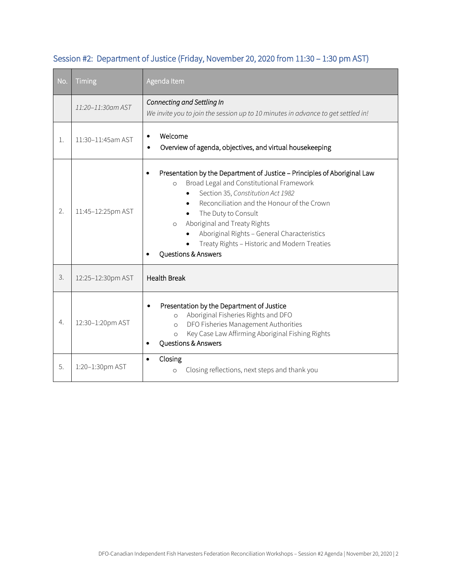| No. | Timing            | Agenda Item                                                                                                                                                                                                                                                                                                                                                                                                             |
|-----|-------------------|-------------------------------------------------------------------------------------------------------------------------------------------------------------------------------------------------------------------------------------------------------------------------------------------------------------------------------------------------------------------------------------------------------------------------|
|     | 11:20-11:30am AST | Connecting and Settling In<br>We invite you to join the session up to 10 minutes in advance to get settled in!                                                                                                                                                                                                                                                                                                          |
| 1.  | 11:30-11:45am AST | Welcome<br>$\bullet$<br>Overview of agenda, objectives, and virtual housekeeping                                                                                                                                                                                                                                                                                                                                        |
| 2.  | 11:45-12:25pm AST | Presentation by the Department of Justice - Principles of Aboriginal Law<br>$\bullet$<br>Broad Legal and Constitutional Framework<br>$\circ$<br>Section 35, Constitution Act 1982<br>Reconciliation and the Honour of the Crown<br>The Duty to Consult<br>Aboriginal and Treaty Rights<br>$\circ$<br>Aboriginal Rights - General Characteristics<br>Treaty Rights - Historic and Modern Treaties<br>Questions & Answers |
| 3.  | 12:25-12:30pm AST | <b>Health Break</b>                                                                                                                                                                                                                                                                                                                                                                                                     |
| 4.  | 12:30-1:20pm AST  | Presentation by the Department of Justice<br>Aboriginal Fisheries Rights and DFO<br>$\Omega$<br>DFO Fisheries Management Authorities<br>$\Omega$<br>Key Case Law Affirming Aboriginal Fishing Rights<br>$\circ$<br>Questions & Answers                                                                                                                                                                                  |
| 5.  | 1:20-1:30pm AST   | Closing<br>$\bullet$<br>Closing reflections, next steps and thank you<br>$\circ$                                                                                                                                                                                                                                                                                                                                        |

I

# Session #2: Department of Justice (Friday, November 20, 2020 from 11:30 – 1:30 pm AST)